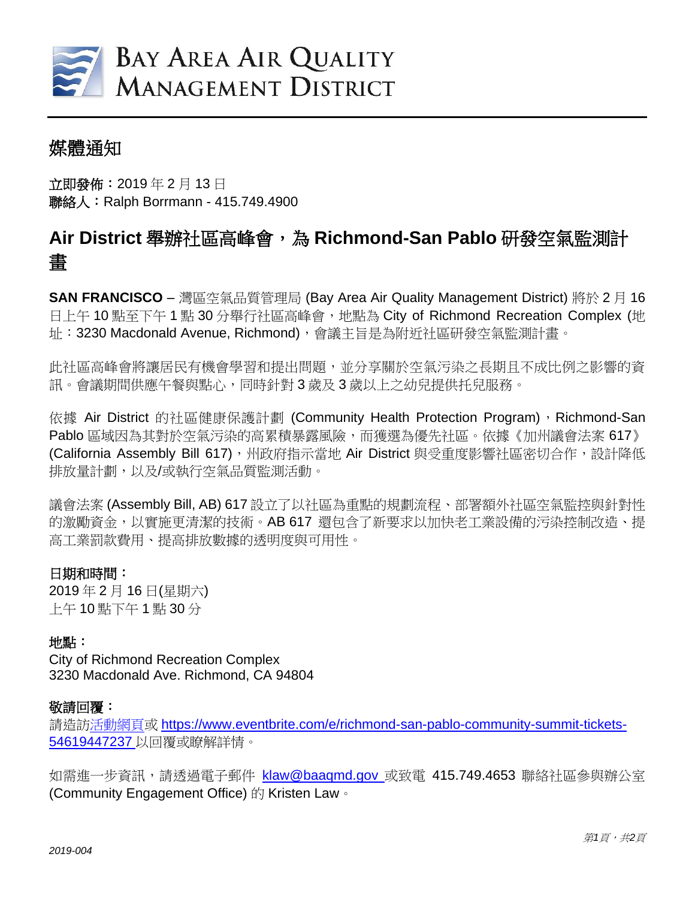

## 媒體通知

立即發佈:2019 年 2 月 13 日 聯絡人:Ralph Borrmann - 415.749.4900

# **Air District** 舉辦社區高峰會,為 **Richmond-San Pablo** 研發空氣監測計 畫

**SAN FRANCISCO** – 灣區空氣品質管理局 (Bay Area Air Quality Management District) 將於 2 月 16 日上午 10 點至下午 1點 30 分舉行社區高峰會, 地點為 City of Richmond Recreation Complex (地 址:3230 Macdonald Avenue, Richmond),會議主旨是為附近社區研發空氣監測計畫。

此社區高峰會將讓居民有機會學習和提出問題,並分享關於空氣污染之長期且不成比例之影響的資 訊。會議期間供應午餐與點心,同時針對 3 歲及 3 歲以上之幼兒提供托兒服務。

依據 Air District 的社區健康保護計劃 (Community Health Protection Program), Richmond-San Pablo 區域因為其對於空氣污染的高累積暴露風險,而獲選為優先社區。依據《加州議會法案 617》 (California Assembly Bill 617),州政府指示當地 Air District 與受重度影響社區密切合作,設計降低 排放量計劃,以及/或執行空氣品質監測活動。

議會法案 (Assembly Bill, AB) 617 設立了以社區為重點的規劃流程、部署額外社區空氣監控與針對性 的激勵資金,以實施更清潔的技術。AB 617 還包含了新要求以加快老工業設備的污染控制改造、提 高工業罰款費用、提高排放數據的透明度與可用性。

### 日期和時間:

2019 年 2 月 16 日(星期六) 上午 10 點下午 1 點 30 分

### 地點:

City of Richmond Recreation Complex 3230 Macdonald Ave. Richmond, CA 94804

### 敬請回覆:

請造[訪活動網頁或](file:///C:/Users/rborrmann/Desktop/event%20webpage) [https://www.eventbrite.com/e/richmond-san-pablo-community-summit-tickets-](https://www.eventbrite.com/e/richmond-san-pablo-community-summit-tickets-54619447237)[54619447237](https://www.eventbrite.com/e/richmond-san-pablo-community-summit-tickets-54619447237) 以回覆或瞭解詳情。

如需推一步資訊,請诱過電子郵件 [klaw@baaqmd.gov](mailto:klaw@baaqmd.gov) 或致雷 415.749.4653 聯絡社區參與辦公室 (Community Engagement Office) 的 Kristen Law。